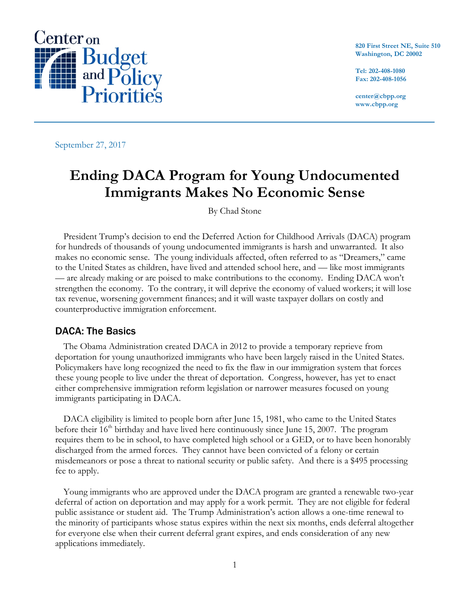

**820 First Street NE, Suite 510 Washington, DC 20002**

**Tel: 202-408-1080 Fax: 202-408-1056**

**center@cbpp.org www.cbpp.org**

September 27, 2017

# **Ending DACA Program for Young Undocumented Immigrants Makes No Economic Sense**

By Chad Stone

President Trump's decision to end the Deferred Action for Childhood Arrivals (DACA) program for hundreds of thousands of young undocumented immigrants is harsh and unwarranted. It also makes no economic sense. The young individuals affected, often referred to as "Dreamers," came to the United States as children, have lived and attended school here, and — like most immigrants — are already making or are poised to make contributions to the economy. Ending DACA won't strengthen the economy. To the contrary, it will deprive the economy of valued workers; it will lose tax revenue, worsening government finances; and it will waste taxpayer dollars on costly and counterproductive immigration enforcement.

## DACA: The Basics

The Obama Administration created DACA in 2012 to provide a temporary reprieve from deportation for young unauthorized immigrants who have been largely raised in the United States. Policymakers have long recognized the need to fix the flaw in our immigration system that forces these young people to live under the threat of deportation. Congress, however, has yet to enact either comprehensive immigration reform legislation or narrower measures focused on young immigrants participating in DACA.

DACA eligibility is limited to people born after June 15, 1981, who came to the United States before their  $16<sup>th</sup>$  birthday and have lived here continuously since June 15, 2007. The program requires them to be in school, to have completed high school or a GED, or to have been honorably discharged from the armed forces. They cannot have been convicted of a felony or certain misdemeanors or pose a threat to national security or public safety. And there is a \$495 processing fee to apply.

Young immigrants who are approved under the DACA program are granted a renewable two-year deferral of action on deportation and may apply for a work permit. They are not eligible for federal public assistance or student aid. The Trump Administration's action allows a one-time renewal to the minority of participants whose status expires within the next six months, ends deferral altogether for everyone else when their current deferral grant expires, and ends consideration of any new applications immediately.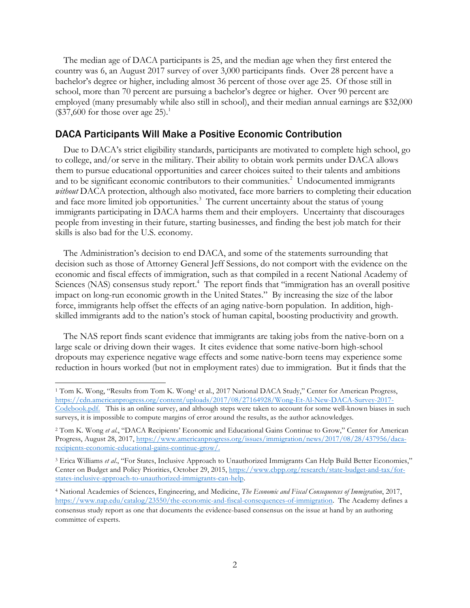The median age of DACA participants is 25, and the median age when they first entered the country was 6, an August 2017 survey of over 3,000 participants finds. Over 28 percent have a bachelor's degree or higher, including almost 36 percent of those over age 25. Of those still in school, more than 70 percent are pursuing a bachelor's degree or higher. Over 90 percent are employed (many presumably while also still in school), and their median annual earnings are \$32,000  $$37,600$  for those over age 25).<sup>1</sup>

#### DACA Participants Will Make a Positive Economic Contribution

Due to DACA's strict eligibility standards, participants are motivated to complete high school, go to college, and/or serve in the military. Their ability to obtain work permits under DACA allows them to pursue educational opportunities and career choices suited to their talents and ambitions and to be significant economic contributors to their communities.<sup>2</sup> Undocumented immigrants *without* DACA protection, although also motivated, face more barriers to completing their education and face more limited job opportunities.<sup>3</sup> The current uncertainty about the status of young immigrants participating in DACA harms them and their employers. Uncertainty that discourages people from investing in their future, starting businesses, and finding the best job match for their skills is also bad for the U.S. economy.

The Administration's decision to end DACA, and some of the statements surrounding that decision such as those of Attorney General Jeff Sessions, do not comport with the evidence on the economic and fiscal effects of immigration, such as that compiled in a recent National Academy of Sciences (NAS) consensus study report.<sup>4</sup> The report finds that "immigration has an overall positive impact on long-run economic growth in the United States." By increasing the size of the labor force, immigrants help offset the effects of an aging native-born population. In addition, highskilled immigrants add to the nation's stock of human capital, boosting productivity and growth.

The NAS report finds scant evidence that immigrants are taking jobs from the native-born on a large scale or driving down their wages. It cites evidence that some native-born high-school dropouts may experience negative wage effects and some native-born teens may experience some reduction in hours worked (but not in employment rates) due to immigration. But it finds that the

<u> 1989 - Johann Barn, mars eta bat erroman erroman erroman erroman erroman erroman erroman erroman erroman err</u>

<sup>&</sup>lt;sup>1</sup> Tom K. Wong, "Results from Tom K. Wong<sup>1</sup> et al., 2017 National DACA Study," Center for American Progress, https://cdn.americanprogress.org/content/uploads/2017/08/27164928/Wong-Et-Al-New-DACA-Survey-2017- Codebook.pdf. This is an online survey, and although steps were taken to account for some well-known biases in such surveys, it is impossible to compute margins of error around the results, as the author acknowledges.

<sup>&</sup>lt;sup>2</sup> Tom K. Wong *et al.*, "DACA Recipients' Economic and Educational Gains Continue to Grow," Center for American Progress, August 28, 2017, https://www.americanprogress.org/issues/immigration/news/2017/08/28/437956/dacarecipients-economic-educational-gains-continue-grow/.

<sup>3</sup> Erica Williams *et al*., "For States, Inclusive Approach to Unauthorized Immigrants Can Help Build Better Economies," Center on Budget and Policy Priorities, October 29, 2015, https://www.cbpp.org/research/state-budget-and-tax/forstates-inclusive-approach-to-unauthorized-immigrants-can-help.

<sup>4</sup> National Academies of Sciences, Engineering, and Medicine, *The Economic and Fiscal Consequences of Immigration*, 2017, https://www.nap.edu/catalog/23550/the-economic-and-fiscal-consequences-of-immigration. The Academy defines a consensus study report as one that documents the evidence-based consensus on the issue at hand by an authoring committee of experts.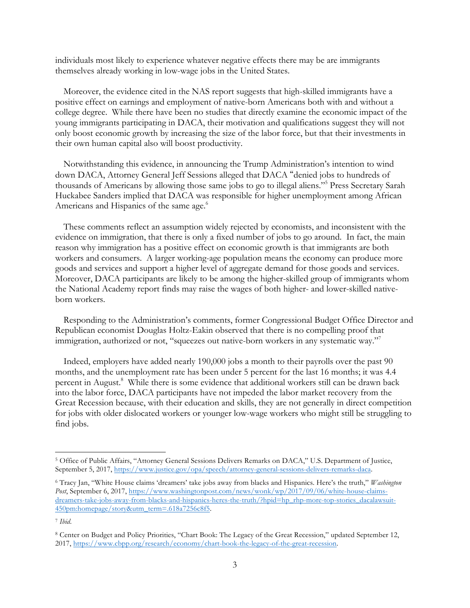individuals most likely to experience whatever negative effects there may be are immigrants themselves already working in low-wage jobs in the United States.

Moreover, the evidence cited in the NAS report suggests that high-skilled immigrants have a positive effect on earnings and employment of native-born Americans both with and without a college degree. While there have been no studies that directly examine the economic impact of the young immigrants participating in DACA, their motivation and qualifications suggest they will not only boost economic growth by increasing the size of the labor force, but that their investments in their own human capital also will boost productivity.

Notwithstanding this evidence, in announcing the Trump Administration's intention to wind down DACA, Attorney General Jeff Sessions alleged that DACA "denied jobs to hundreds of thousands of Americans by allowing those same jobs to go to illegal aliens."5 Press Secretary Sarah Huckabee Sanders implied that DACA was responsible for higher unemployment among African Americans and Hispanics of the same age.<sup>6</sup>

These comments reflect an assumption widely rejected by economists, and inconsistent with the evidence on immigration, that there is only a fixed number of jobs to go around. In fact, the main reason why immigration has a positive effect on economic growth is that immigrants are both workers and consumers. A larger working-age population means the economy can produce more goods and services and support a higher level of aggregate demand for those goods and services. Moreover, DACA participants are likely to be among the higher-skilled group of immigrants whom the National Academy report finds may raise the wages of both higher- and lower-skilled nativeborn workers.

Responding to the Administration's comments, former Congressional Budget Office Director and Republican economist Douglas Holtz-Eakin observed that there is no compelling proof that immigration, authorized or not, "squeezes out native-born workers in any systematic way."

Indeed, employers have added nearly 190,000 jobs a month to their payrolls over the past 90 months, and the unemployment rate has been under 5 percent for the last 16 months; it was 4.4 percent in August.<sup>8</sup> While there is some evidence that additional workers still can be drawn back into the labor force, DACA participants have not impeded the labor market recovery from the Great Recession because, with their education and skills, they are not generally in direct competition for jobs with older dislocated workers or younger low-wage workers who might still be struggling to find jobs.

 

<sup>5</sup> Office of Public Affairs, "Attorney General Sessions Delivers Remarks on DACA," U.S. Department of Justice, September 5, 2017, https://www.justice.gov/opa/speech/attorney-general-sessions-delivers-remarks-daca.

<sup>6</sup> Tracy Jan, "White House claims 'dreamers' take jobs away from blacks and Hispanics. Here's the truth," *Washington Post*, September 6, 2017, https://www.washingtonpost.com/news/wonk/wp/2017/09/06/white-house-claimsdreamers-take-jobs-away-from-blacks-and-hispanics-heres-the-truth/?hpid=hp\_rhp-more-top-stories\_dacalawsuit-450pm:homepage/story&utm\_term=.618a7256c8f5.

<sup>7</sup> *Ibid*.

<sup>8</sup> Center on Budget and Policy Priorities, "Chart Book: The Legacy of the Great Recession," updated September 12, 2017, https://www.cbpp.org/research/economy/chart-book-the-legacy-of-the-great-recession.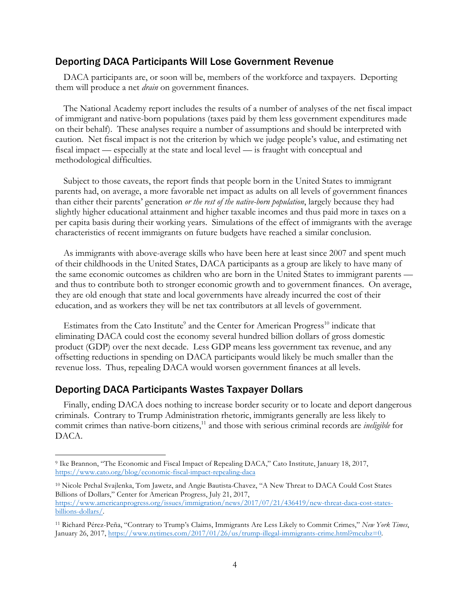#### Deporting DACA Participants Will Lose Government Revenue

DACA participants are, or soon will be, members of the workforce and taxpayers. Deporting them will produce a net *drain* on government finances.

The National Academy report includes the results of a number of analyses of the net fiscal impact of immigrant and native-born populations (taxes paid by them less government expenditures made on their behalf). These analyses require a number of assumptions and should be interpreted with caution. Net fiscal impact is not the criterion by which we judge people's value, and estimating net fiscal impact — especially at the state and local level — is fraught with conceptual and methodological difficulties.

Subject to those caveats, the report finds that people born in the United States to immigrant parents had, on average, a more favorable net impact as adults on all levels of government finances than either their parents' generation *or the rest of the native-born population*, largely because they had slightly higher educational attainment and higher taxable incomes and thus paid more in taxes on a per capita basis during their working years. Simulations of the effect of immigrants with the average characteristics of recent immigrants on future budgets have reached a similar conclusion.

As immigrants with above-average skills who have been here at least since 2007 and spent much of their childhoods in the United States, DACA participants as a group are likely to have many of the same economic outcomes as children who are born in the United States to immigrant parents and thus to contribute both to stronger economic growth and to government finances. On average, they are old enough that state and local governments have already incurred the cost of their education, and as workers they will be net tax contributors at all levels of government.

Estimates from the Cato Institute<sup>9</sup> and the Center for American Progress<sup>10</sup> indicate that eliminating DACA could cost the economy several hundred billion dollars of gross domestic product (GDP) over the next decade. Less GDP means less government tax revenue, and any offsetting reductions in spending on DACA participants would likely be much smaller than the revenue loss. Thus, repealing DACA would worsen government finances at all levels.

### Deporting DACA Participants Wastes Taxpayer Dollars

<u> 1989 - Johann Barn, mars eta bat erroman erroman erroman erroman erroman erroman erroman erroman erroman err</u>

Finally, ending DACA does nothing to increase border security or to locate and deport dangerous criminals. Contrary to Trump Administration rhetoric, immigrants generally are less likely to commit crimes than native-born citizens,<sup>11</sup> and those with serious criminal records are *ineligible* for DACA.

<sup>10</sup> Nicole Prchal Svajlenka, Tom Jawetz, and Angie Bautista-Chavez, "A New Threat to DACA Could Cost States Billions of Dollars," Center for American Progress, July 21, 2017, https://www.americanprogress.org/issues/immigration/news/2017/07/21/436419/new-threat-daca-cost-statesbillions-dollars/.

<sup>9</sup> Ike Brannon, "The Economic and Fiscal Impact of Repealing DACA," Cato Institute, January 18, 2017, https://www.cato.org/blog/economic-fiscal-impact-repealing-daca

<sup>11</sup> Richard Pérez-Peña, "Contrary to Trump's Claims, Immigrants Are Less Likely to Commit Crimes," *New York Times*, January 26, 2017, https://www.nytimes.com/2017/01/26/us/trump-illegal-immigrants-crime.html?mcubz=0.